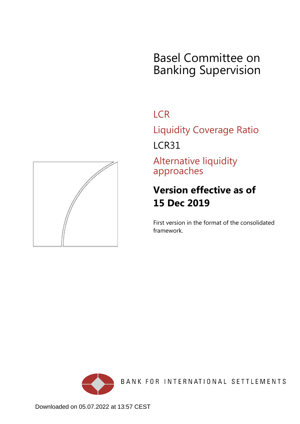# Basel Committee on Banking Supervision

## **LCR**

Liquidity Coverage Ratio

LCR31

Alternative liquidity approaches

## **Version effective as of 15 Dec 2019**

First version in the format of the consolidated framework.



BANK FOR INTERNATIONAL SETTLEMENTS

<span id="page-0-0"></span>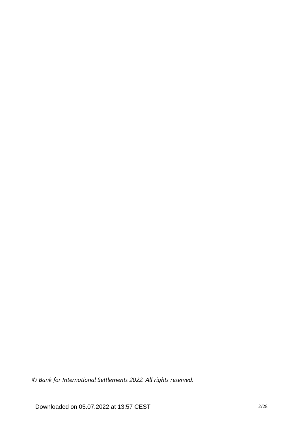*© Bank for International Settlements 2022. All rights reserved.*

Downloaded on 05.07.2022 at 13:57 CEST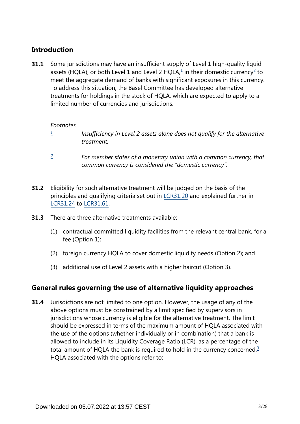## **Introduction**

<span id="page-2-2"></span>Some jurisdictions may have an insufficient supply of Level 1 high-quality liquid assets (HQLA), or both Level [1](#page-2-0) and Level [2](#page-2-1) HQLA, $\frac{1}{2}$  in their domestic currency<sup>2</sup> to meet the aggregate demand of banks with significant exposures in this currency. To address this situation, the Basel Committee has developed alternative treatments for holdings in the stock of HQLA, which are expected to apply to a limited number of currencies and jurisdictions. **31.1**

#### *Footnotes*

- <span id="page-2-0"></span>*Insufficiency in Level 2 assets alone does not qualify for the alternative treatment. [1](#page-2-2)*
- *For member states of a monetary union with a common currency, that common currency is considered the "domestic currency". [2](#page-2-2)*
- <span id="page-2-1"></span>Eligibility for such alternative treatment will be judged on the basis of the principles and qualifying criteria set out in [LCR31.20](https://www.bis.org/basel_framework/chapter/LCR/31.htm?tldate=20281012&inforce=20191215&published=20191215#paragraph_LCR_31_20191215_31_20) and explained further in [LCR31.24](https://www.bis.org/basel_framework/chapter/LCR/31.htm?tldate=20281012&inforce=20191215&published=20191215#paragraph_LCR_31_20191215_31_24) to [LCR31.61](https://www.bis.org/basel_framework/chapter/LCR/31.htm?tldate=20281012&inforce=20191215&published=20191215#paragraph_LCR_31_20191215_31_61). **31.2**
- **31.3** There are three alternative treatments available:
	- (1) contractual committed liquidity facilities from the relevant central bank, for a fee (Option 1);
	- (2) foreign currency HQLA to cover domestic liquidity needs (Option 2); and
	- (3) additional use of Level 2 assets with a higher haircut (Option 3).

## **General rules governing the use of alternative liquidity approaches**

<span id="page-2-3"></span>Jurisdictions are not limited to one option. However, the usage of any of the above options must be constrained by a limit specified by supervisors in jurisdictions whose currency is eligible for the alternative treatment. The limit should be expressed in terms of the maximum amount of HQLA associated with the use of the options (whether individually or in combination) that a bank is allowed to include in its Liquidity Coverage Ratio (LCR), as a percentage of the total amount of HQLA the bank is required to hold in the currency concerned.<sup>[3](#page-3-0)</sup> HQLA associated with the options refer to: **31.4**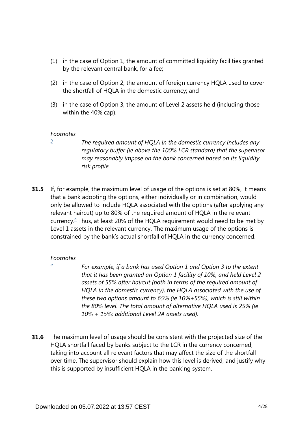- (1) in the case of Option 1, the amount of committed liquidity facilities granted by the relevant central bank, for a fee;
- (2) in the case of Option 2, the amount of foreign currency HQLA used to cover the shortfall of HQLA in the domestic currency; and
- (3) in the case of Option 3, the amount of Level 2 assets held (including those within the 40% cap).

<span id="page-3-0"></span>*[3](#page-2-3)*

*The required amount of HQLA in the domestic currency includes any regulatory buffer (ie above the 100% LCR standard) that the supervisor may reasonably impose on the bank concerned based on its liquidity risk profile.*

<span id="page-3-2"></span>**31.5** If, for example, the maximum level of usage of the options is set at 80%, it means that a bank adopting the options, either individually or in combination, would only be allowed to include HQLA associated with the options (after applying any relevant haircut) up to 80% of the required amount of HQLA in the relevant currency.<sup>[4](#page-3-1)</sup> Thus, at least 20% of the HQLA requirement would need to be met by Level 1 assets in the relevant currency. The maximum usage of the options is constrained by the bank's actual shortfall of HQLA in the currency concerned.

#### *Footnotes*

<span id="page-3-1"></span>*[4](#page-3-2)*

*For example, if a bank has used Option 1 and Option 3 to the extent that it has been granted an Option 1 facility of 10%, and held Level 2 assets of 55% after haircut (both in terms of the required amount of HQLA in the domestic currency), the HQLA associated with the use of these two options amount to 65% (ie 10%+55%), which is still within the 80% level. The total amount of alternative HQLA used is 25% (ie 10% + 15%; additional Level 2A assets used).*

**31.6** The maximum level of usage should be consistent with the projected size of the HQLA shortfall faced by banks subject to the LCR in the currency concerned, taking into account all relevant factors that may affect the size of the shortfall over time. The supervisor should explain how this level is derived, and justify why this is supported by insufficient HQLA in the banking system.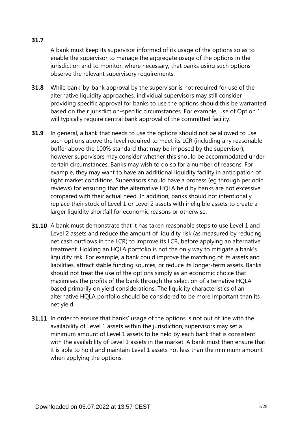A bank must keep its supervisor informed of its usage of the options so as to enable the supervisor to manage the aggregate usage of the options in the jurisdiction and to monitor, where necessary, that banks using such options observe the relevant supervisory requirements.

- While bank-by-bank approval by the supervisor is not required for use of the alternative liquidity approaches, individual supervisors may still consider providing specific approval for banks to use the options should this be warranted based on their jurisdiction-specific circumstances. For example, use of Option 1 will typically require central bank approval of the committed facility. **31.8**
- In general, a bank that needs to use the options should not be allowed to use such options above the level required to meet its LCR (including any reasonable buffer above the 100% standard that may be imposed by the supervisor), however supervisors may consider whether this should be accommodated under certain circumstances. Banks may wish to do so for a number of reasons. For example, they may want to have an additional liquidity facility in anticipation of tight market conditions. Supervisors should have a process (eg through periodic reviews) for ensuring that the alternative HQLA held by banks are not excessive compared with their actual need. In addition, banks should not intentionally replace their stock of Level 1 or Level 2 assets with ineligible assets to create a larger liquidity shortfall for economic reasons or otherwise. **31.9**
- **31.10** A bank must demonstrate that it has taken reasonable steps to use Level 1 and Level 2 assets and reduce the amount of liquidity risk (as measured by reducing net cash outflows in the LCR) to improve its LCR, before applying an alternative treatment. Holding an HQLA portfolio is not the only way to mitigate a bank's liquidity risk. For example, a bank could improve the matching of its assets and liabilities, attract stable funding sources, or reduce its longer-term assets. Banks should not treat the use of the options simply as an economic choice that maximises the profits of the bank through the selection of alternative HQLA based primarily on yield considerations. The liquidity characteristics of an alternative HQLA portfolio should be considered to be more important than its net yield.
- **31.11** In order to ensure that banks' usage of the options is not out of line with the availability of Level 1 assets within the jurisdiction, supervisors may set a minimum amount of Level 1 assets to be held by each bank that is consistent with the availability of Level 1 assets in the market. A bank must then ensure that it is able to hold and maintain Level 1 assets not less than the minimum amount when applying the options.

#### **31.7**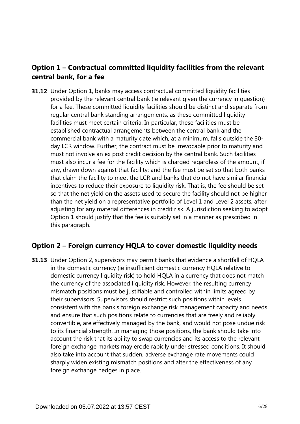## **Option 1 – Contractual committed liquidity facilities from the relevant central bank, for a fee**

**31.12** Under Option 1, banks may access contractual committed liquidity facilities provided by the relevant central bank (ie relevant given the currency in question) for a fee. These committed liquidity facilities should be distinct and separate from regular central bank standing arrangements, as these committed liquidity facilities must meet certain criteria. In particular, these facilities must be established contractual arrangements between the central bank and the commercial bank with a maturity date which, at a minimum, falls outside the 30 day LCR window. Further, the contract must be irrevocable prior to maturity and must not involve an ex post credit decision by the central bank. Such facilities must also incur a fee for the facility which is charged regardless of the amount, if any, drawn down against that facility; and the fee must be set so that both banks that claim the facility to meet the LCR and banks that do not have similar financial incentives to reduce their exposure to liquidity risk. That is, the fee should be set so that the net yield on the assets used to secure the facility should not be higher than the net yield on a representative portfolio of Level 1 and Level 2 assets, after adjusting for any material differences in credit risk. A jurisdiction seeking to adopt Option 1 should justify that the fee is suitably set in a manner as prescribed in this paragraph.

## **Option 2 – Foreign currency HQLA to cover domestic liquidity needs**

**31.13** Under Option 2, supervisors may permit banks that evidence a shortfall of HQLA in the domestic currency (ie insufficient domestic currency HQLA relative to domestic currency liquidity risk) to hold HQLA in a currency that does not match the currency of the associated liquidity risk. However, the resulting currency mismatch positions must be justifiable and controlled within limits agreed by their supervisors. Supervisors should restrict such positions within levels consistent with the bank's foreign exchange risk management capacity and needs and ensure that such positions relate to currencies that are freely and reliably convertible, are effectively managed by the bank, and would not pose undue risk to its financial strength. In managing those positions, the bank should take into account the risk that its ability to swap currencies and its access to the relevant foreign exchange markets may erode rapidly under stressed conditions. It should also take into account that sudden, adverse exchange rate movements could sharply widen existing mismatch positions and alter the effectiveness of any foreign exchange hedges in place.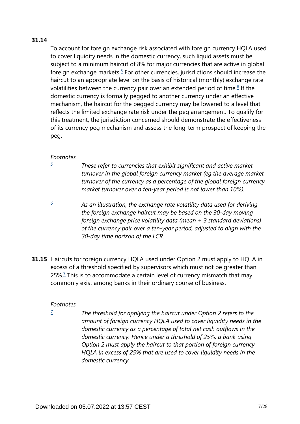#### <span id="page-6-3"></span><span id="page-6-2"></span>**31.14**

To account for foreign exchange risk associated with foreign currency HQLA used to cover liquidity needs in the domestic currency, such liquid assets must be subject to a minimum haircut of 8% for major currencies that are active in global foreign exchange markets. $5$  For other currencies, jurisdictions should increase the haircut to an appropriate level on the basis of historical (monthly) exchange rate volatilities between the currency pair over an extended period of time.<sup>[6](#page-6-1)</sup> If the domestic currency is formally pegged to another currency under an effective mechanism, the haircut for the pegged currency may be lowered to a level that reflects the limited exchange rate risk under the peg arrangement. To qualify for this treatment, the jurisdiction concerned should demonstrate the effectiveness of its currency peg mechanism and assess the long-term prospect of keeping the peg.

#### *Footnotes*

<span id="page-6-0"></span>*[5](#page-6-2)*

*These refer to currencies that exhibit significant and active market turnover in the global foreign currency market (eg the average market turnover of the currency as a percentage of the global foreign currency market turnover over a ten-year period is not lower than 10%).*

<span id="page-6-1"></span>*As an illustration, the exchange rate volatility data used for deriving the foreign exchange haircut may be based on the 30-day moving foreign exchange price volatility data (mean + 3 standard deviations) of the currency pair over a ten-year period, adjusted to align with the 30-day time horizon of the LCR. [6](#page-6-3)*

<span id="page-6-5"></span>**31.15** Haircuts for foreign currency HQLA used under Option 2 must apply to HQLA in excess of a threshold specified by supervisors which must not be greater than 25%.<sup>[7](#page-6-4)</sup> This is to accommodate a certain level of currency mismatch that may commonly exist among banks in their ordinary course of business.

#### *Footnotes*

<span id="page-6-4"></span>*The threshold for applying the haircut under Option 2 refers to the amount of foreign currency HQLA used to cover liquidity needs in the domestic currency as a percentage of total net cash outflows in the domestic currency. Hence under a threshold of 25%, a bank using Option 2 must apply the haircut to that portion of foreign currency HQLA in excess of 25% that are used to cover liquidity needs in the domestic currency. [7](#page-6-5)*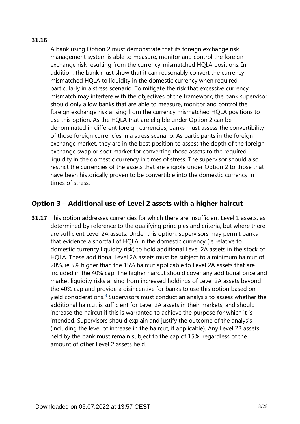#### **31.16**

A bank using Option 2 must demonstrate that its foreign exchange risk management system is able to measure, monitor and control the foreign exchange risk resulting from the currency-mismatched HQLA positions. In addition, the bank must show that it can reasonably convert the currencymismatched HQLA to liquidity in the domestic currency when required, particularly in a stress scenario. To mitigate the risk that excessive currency mismatch may interfere with the objectives of the framework, the bank supervisor should only allow banks that are able to measure, monitor and control the foreign exchange risk arising from the currency mismatched HQLA positions to use this option. As the HQLA that are eligible under Option 2 can be denominated in different foreign currencies, banks must assess the convertibility of those foreign currencies in a stress scenario. As participants in the foreign exchange market, they are in the best position to assess the depth of the foreign exchange swap or spot market for converting those assets to the required liquidity in the domestic currency in times of stress. The supervisor should also restrict the currencies of the assets that are eligible under Option 2 to those that have been historically proven to be convertible into the domestic currency in times of stress.

## **Option 3 – Additional use of Level 2 assets with a higher haircut**

<span id="page-7-0"></span>**31.17** This option addresses currencies for which there are insufficient Level 1 assets, as determined by reference to the qualifying principles and criteria, but where there are sufficient Level 2A assets. Under this option, supervisors may permit banks that evidence a shortfall of HQLA in the domestic currency (ie relative to domestic currency liquidity risk) to hold additional Level 2A assets in the stock of HQLA. These additional Level 2A assets must be subject to a minimum haircut of 20%, ie 5% higher than the 15% haircut applicable to Level 2A assets that are included in the 40% cap. The higher haircut should cover any additional price and market liquidity risks arising from increased holdings of Level 2A assets beyond the 40% cap and provide a disincentive for banks to use this option based on yield considerations.<sup>[8](#page-8-0)</sup> Supervisors must conduct an analysis to assess whether the additional haircut is sufficient for Level 2A assets in their markets, and should increase the haircut if this is warranted to achieve the purpose for which it is intended. Supervisors should explain and justify the outcome of the analysis (including the level of increase in the haircut, if applicable). Any Level 2B assets held by the bank must remain subject to the cap of 15%, regardless of the amount of other Level 2 assets held.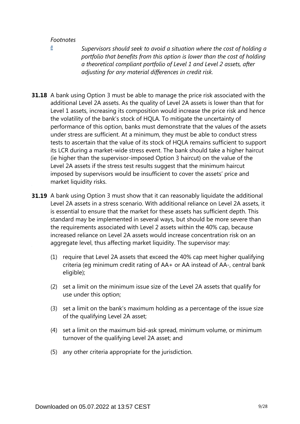<span id="page-8-0"></span>*[8](#page-7-0)*

*Supervisors should seek to avoid a situation where the cost of holding a portfolio that benefits from this option is lower than the cost of holding a theoretical compliant portfolio of Level 1 and Level 2 assets, after adjusting for any material differences in credit risk.*

- **31.18** A bank using Option 3 must be able to manage the price risk associated with the additional Level 2A assets. As the quality of Level 2A assets is lower than that for Level 1 assets, increasing its composition would increase the price risk and hence the volatility of the bank's stock of HQLA. To mitigate the uncertainty of performance of this option, banks must demonstrate that the values of the assets under stress are sufficient. At a minimum, they must be able to conduct stress tests to ascertain that the value of its stock of HQLA remains sufficient to support its LCR during a market-wide stress event. The bank should take a higher haircut (ie higher than the supervisor-imposed Option 3 haircut) on the value of the Level 2A assets if the stress test results suggest that the minimum haircut imposed by supervisors would be insufficient to cover the assets' price and market liquidity risks.
- **31.19** A bank using Option 3 must show that it can reasonably liquidate the additional Level 2A assets in a stress scenario. With additional reliance on Level 2A assets, it is essential to ensure that the market for these assets has sufficient depth. This standard may be implemented in several ways, but should be more severe than the requirements associated with Level 2 assets within the 40% cap, because increased reliance on Level 2A assets would increase concentration risk on an aggregate level, thus affecting market liquidity. The supervisor may:
	- (1) require that Level 2A assets that exceed the 40% cap meet higher qualifying criteria (eg minimum credit rating of AA+ or AA instead of AA-, central bank eligible);
	- (2) set a limit on the minimum issue size of the Level 2A assets that qualify for use under this option;
	- (3) set a limit on the bank's maximum holding as a percentage of the issue size of the qualifying Level 2A asset;
	- (4) set a limit on the maximum bid-ask spread, minimum volume, or minimum turnover of the qualifying Level 2A asset; and
	- (5) any other criteria appropriate for the jurisdiction.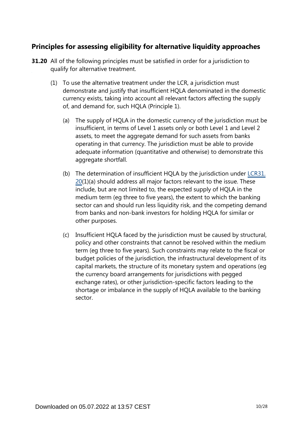## **Principles for assessing eligibility for alternative liquidity approaches**

- **31.20** All of the following principles must be satisfied in order for a jurisdiction to qualify for alternative treatment.
	- (1) To use the alternative treatment under the LCR, a jurisdiction must demonstrate and justify that insufficient HQLA denominated in the domestic currency exists, taking into account all relevant factors affecting the supply of, and demand for, such HQLA (Principle 1).
		- (a) The supply of HQLA in the domestic currency of the jurisdiction must be insufficient, in terms of Level 1 assets only or both Level 1 and Level 2 assets, to meet the aggregate demand for such assets from banks operating in that currency. The jurisdiction must be able to provide adequate information (quantitative and otherwise) to demonstrate this aggregate shortfall.
		- (b) The determination of insufficient HQLA by the jurisdiction under [LCR31.](https://www.bis.org/basel_framework/chapter/LCR/31.htm?tldate=20281012&inforce=20191215&published=20191215#paragraph_LCR_31_20191215_31_20) [20\(](https://www.bis.org/basel_framework/chapter/LCR/31.htm?tldate=20281012&inforce=20191215&published=20191215#paragraph_LCR_31_20191215_31_20)1)(a) should address all major factors relevant to the issue. These include, but are not limited to, the expected supply of HQLA in the medium term (eg three to five years), the extent to which the banking sector can and should run less liquidity risk, and the competing demand from banks and non-bank investors for holding HQLA for similar or other purposes.
		- (c) Insufficient HQLA faced by the jurisdiction must be caused by structural, policy and other constraints that cannot be resolved within the medium term (eg three to five years). Such constraints may relate to the fiscal or budget policies of the jurisdiction, the infrastructural development of its capital markets, the structure of its monetary system and operations (eg the currency board arrangements for jurisdictions with pegged exchange rates), or other jurisdiction-specific factors leading to the shortage or imbalance in the supply of HQLA available to the banking sector.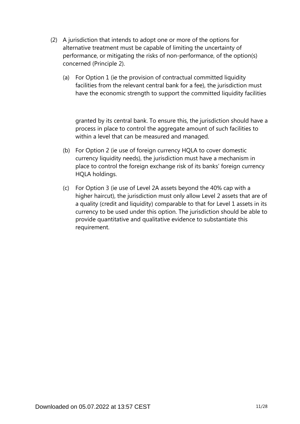- (2) A jurisdiction that intends to adopt one or more of the options for alternative treatment must be capable of limiting the uncertainty of performance, or mitigating the risks of non-performance, of the option(s) concerned (Principle 2).
	- (a) For Option 1 (ie the provision of contractual committed liquidity facilities from the relevant central bank for a fee), the jurisdiction must have the economic strength to support the committed liquidity facilities

granted by its central bank. To ensure this, the jurisdiction should have a process in place to control the aggregate amount of such facilities to within a level that can be measured and managed.

- (b) For Option 2 (ie use of foreign currency HQLA to cover domestic currency liquidity needs), the jurisdiction must have a mechanism in place to control the foreign exchange risk of its banks' foreign currency HQLA holdings.
- (c) For Option 3 (ie use of Level 2A assets beyond the 40% cap with a higher haircut), the jurisdiction must only allow Level 2 assets that are of a quality (credit and liquidity) comparable to that for Level 1 assets in its currency to be used under this option. The jurisdiction should be able to provide quantitative and qualitative evidence to substantiate this requirement.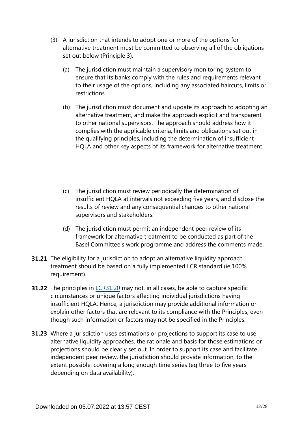- (3) A jurisdiction that intends to adopt one or more of the options for alternative treatment must be committed to observing all of the obligations set out below (Principle 3).
	- (a) The jurisdiction must maintain a supervisory monitoring system to ensure that its banks comply with the rules and requirements relevant to their usage of the options, including any associated haircuts, limits or restrictions.
	- (b) The jurisdiction must document and update its approach to adopting an alternative treatment, and make the approach explicit and transparent to other national supervisors. The approach should address how it complies with the applicable criteria, limits and obligations set out in the qualifying principles, including the determination of insufficient HQLA and other key aspects of its framework for alternative treatment.
	- (c) The jurisdiction must review periodically the determination of insufficient HQLA at intervals not exceeding five years, and disclose the results of review and any consequential changes to other national supervisors and stakeholders.
	- (d) The jurisdiction must permit an independent peer review of its framework for alternative treatment to be conducted as part of the Basel Committee's work programme and address the comments made.
- **31.21** The eligibility for a jurisdiction to adopt an alternative liquidity approach treatment should be based on a fully implemented LCR standard (ie 100% requirement).
- **31.22** The principles in [LCR31.20](https://www.bis.org/basel_framework/chapter/LCR/31.htm?tldate=20281012&inforce=20191215&published=20191215#paragraph_LCR_31_20191215_31_20) may not, in all cases, be able to capture specific circumstances or unique factors affecting individual jurisdictions having insufficient HQLA. Hence, a jurisdiction may provide additional information or explain other factors that are relevant to its compliance with the Principles, even though such information or factors may not be specified in the Principles.
- **31.23** Where a jurisdiction uses estimations or projections to support its case to use alternative liquidity approaches, the rationale and basis for those estimations or projections should be clearly set out. In order to support its case and facilitate independent peer review, the jurisdiction should provide information, to the extent possible, covering a long enough time series (eg three to five years depending on data availability).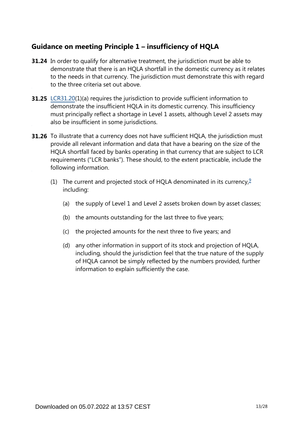## **Guidance on meeting Principle 1 – insufficiency of HQLA**

- **31.24** In order to qualify for alternative treatment, the jurisdiction must be able to demonstrate that there is an HQLA shortfall in the domestic currency as it relates to the needs in that currency. The jurisdiction must demonstrate this with regard to the three criteria set out above.
- **31.25** [LCR31.20\(](https://www.bis.org/basel_framework/chapter/LCR/31.htm?tldate=20281012&inforce=20191215&published=20191215#paragraph_LCR_31_20191215_31_20)1)(a) requires the jurisdiction to provide sufficient information to demonstrate the insufficient HQLA in its domestic currency. This insufficiency must principally reflect a shortage in Level 1 assets, although Level 2 assets may also be insufficient in some jurisdictions.
- <span id="page-12-0"></span>**31.26** To illustrate that a currency does not have sufficient HQLA, the jurisdiction must provide all relevant information and data that have a bearing on the size of the HQLA shortfall faced by banks operating in that currency that are subject to LCR requirements ("LCR banks"). These should, to the extent practicable, include the following information.
	- (1) The current and projected stock of HQLA denominated in its currency,  $\frac{9}{2}$  $\frac{9}{2}$  $\frac{9}{2}$ including:
		- (a) the supply of Level 1 and Level 2 assets broken down by asset classes;
		- (b) the amounts outstanding for the last three to five years;
		- (c) the projected amounts for the next three to five years; and
		- (d) any other information in support of its stock and projection of HQLA, including, should the jurisdiction feel that the true nature of the supply of HQLA cannot be simply reflected by the numbers provided, further information to explain sufficiently the case.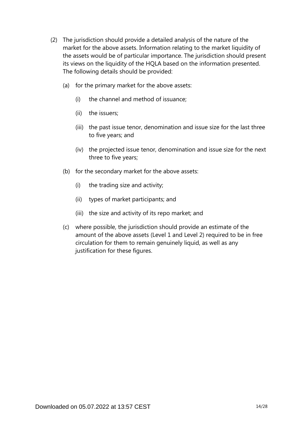- (2) The jurisdiction should provide a detailed analysis of the nature of the market for the above assets. Information relating to the market liquidity of the assets would be of particular importance. The jurisdiction should present its views on the liquidity of the HQLA based on the information presented. The following details should be provided:
	- (a) for the primary market for the above assets:
		- (i) the channel and method of issuance;
		- (ii) the issuers;
		- (iii) the past issue tenor, denomination and issue size for the last three to five years; and
		- (iv) the projected issue tenor, denomination and issue size for the next three to five years;
	- (b) for the secondary market for the above assets:
		- (i) the trading size and activity;
		- (ii) types of market participants; and
		- (iii) the size and activity of its repo market; and
	- (c) where possible, the jurisdiction should provide an estimate of the amount of the above assets (Level 1 and Level 2) required to be in free circulation for them to remain genuinely liquid, as well as any justification for these figures.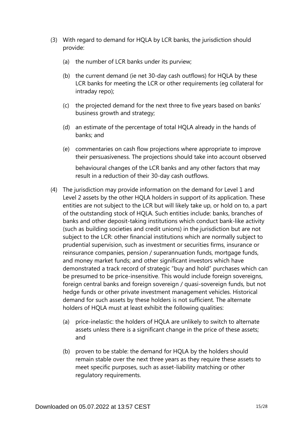- (3) With regard to demand for HQLA by LCR banks, the jurisdiction should provide:
	- (a) the number of LCR banks under its purview;
	- (b) the current demand (ie net 30-day cash outflows) for HQLA by these LCR banks for meeting the LCR or other requirements (eg collateral for intraday repo);
	- (c) the projected demand for the next three to five years based on banks' business growth and strategy;
	- (d) an estimate of the percentage of total HQLA already in the hands of banks; and
	- (e) commentaries on cash flow projections where appropriate to improve their persuasiveness. The projections should take into account observed behavioural changes of the LCR banks and any other factors that may result in a reduction of their 30-day cash outflows.
- (4) The jurisdiction may provide information on the demand for Level 1 and Level 2 assets by the other HQLA holders in support of its application. These entities are not subject to the LCR but will likely take up, or hold on to, a part of the outstanding stock of HQLA. Such entities include: banks, branches of banks and other deposit-taking institutions which conduct bank-like activity (such as building societies and credit unions) in the jurisdiction but are not subject to the LCR: other financial institutions which are normally subject to prudential supervision, such as investment or securities firms, insurance or reinsurance companies, pension / superannuation funds, mortgage funds, and money market funds; and other significant investors which have demonstrated a track record of strategic "buy and hold" purchases which can be presumed to be price-insensitive. This would include foreign sovereigns, foreign central banks and foreign sovereign / quasi-sovereign funds, but not hedge funds or other private investment management vehicles. Historical demand for such assets by these holders is not sufficient. The alternate holders of HQLA must at least exhibit the following qualities:
	- (a) price-inelastic: the holders of HQLA are unlikely to switch to alternate assets unless there is a significant change in the price of these assets; and
	- (b) proven to be stable: the demand for HQLA by the holders should remain stable over the next three years as they require these assets to meet specific purposes, such as asset-liability matching or other regulatory requirements.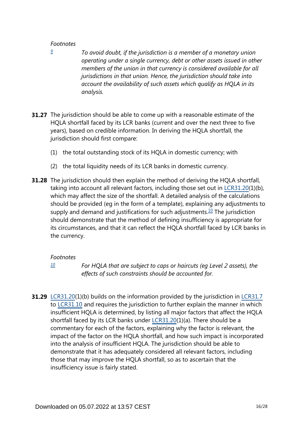<span id="page-15-0"></span>*[9](#page-12-0)*

- *To avoid doubt, if the jurisdiction is a member of a monetary union operating under a single currency, debt or other assets issued in other members of the union in that currency is considered available for all jurisdictions in that union. Hence, the jurisdiction should take into account the availability of such assets which qualify as HQLA in its analysis.*
- **31.27** The jurisdiction should be able to come up with a reasonable estimate of the HQLA shortfall faced by its LCR banks (current and over the next three to five years), based on credible information. In deriving the HQLA shortfall, the jurisdiction should first compare:
	- (1) the total outstanding stock of its HQLA in domestic currency; with
	- (2) the total liquidity needs of its LCR banks in domestic currency.
- <span id="page-15-2"></span>**31.28** The jurisdiction should then explain the method of deriving the HQLA shortfall, taking into account all relevant factors, including those set out in [LCR31.20\(](https://www.bis.org/basel_framework/chapter/LCR/31.htm?tldate=20281012&inforce=20191215&published=20191215#paragraph_LCR_31_20191215_31_20)1)(b), which may affect the size of the shortfall. A detailed analysis of the calculations should be provided (eg in the form of a template), explaining any adjustments to supply and demand and justifications for such adjustments.<sup>[10](#page-15-1)</sup> The jurisdiction should demonstrate that the method of defining insufficiency is appropriate for its circumstances, and that it can reflect the HQLA shortfall faced by LCR banks in the currency.

#### *Footnotes*

*[10](#page-15-2)*

*For HQLA that are subject to caps or haircuts (eg Level 2 assets), the effects of such constraints should be accounted for.*

<span id="page-15-1"></span>**31.29** [LCR31.20\(](https://www.bis.org/basel_framework/chapter/LCR/31.htm?tldate=20281012&inforce=20191215&published=20191215#paragraph_LCR_31_20191215_31_20)1)(b) builds on the information provided by the jurisdiction in [LCR31.7](https://www.bis.org/basel_framework/chapter/LCR/31.htm?tldate=20281012&inforce=20191215&published=20191215#paragraph_LCR_31_20191215_31_7) to [LCR31.10](https://www.bis.org/basel_framework/chapter/LCR/31.htm?tldate=20281012&inforce=20191215&published=20191215#paragraph_LCR_31_20191215_31_10) and requires the jurisdiction to further explain the manner in which insufficient HQLA is determined, by listing all major factors that affect the HQLA shortfall faced by its LCR banks under [LCR31.20](https://www.bis.org/basel_framework/chapter/LCR/31.htm?tldate=20281012&inforce=20191215&published=20191215#paragraph_LCR_31_20191215_31_20)(1)(a). There should be a commentary for each of the factors, explaining why the factor is relevant, the impact of the factor on the HQLA shortfall, and how such impact is incorporated into the analysis of insufficient HQLA. The jurisdiction should be able to demonstrate that it has adequately considered all relevant factors, including those that may improve the HQLA shortfall, so as to ascertain that the insufficiency issue is fairly stated.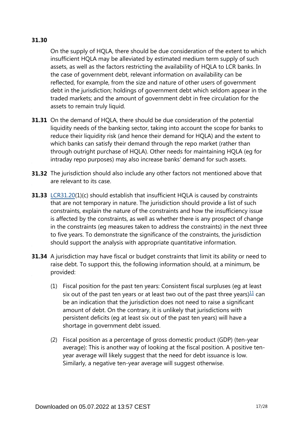#### **31.30**

On the supply of HQLA, there should be due consideration of the extent to which insufficient HQLA may be alleviated by estimated medium term supply of such assets, as well as the factors restricting the availability of HQLA to LCR banks. In the case of government debt, relevant information on availability can be reflected, for example, from the size and nature of other users of government debt in the jurisdiction; holdings of government debt which seldom appear in the traded markets; and the amount of government debt in free circulation for the assets to remain truly liquid.

- **31.31** On the demand of HQLA, there should be due consideration of the potential liquidity needs of the banking sector, taking into account the scope for banks to reduce their liquidity risk (and hence their demand for HQLA) and the extent to which banks can satisfy their demand through the repo market (rather than through outright purchase of HQLA). Other needs for maintaining HQLA (eg for intraday repo purposes) may also increase banks' demand for such assets.
- **31.32** The jurisdiction should also include any other factors not mentioned above that are relevant to its case.
- **31.33** [LCR31.20\(](https://www.bis.org/basel_framework/chapter/LCR/31.htm?tldate=20281012&inforce=20191215&published=20191215#paragraph_LCR_31_20191215_31_20)1)(c) should establish that insufficient HQLA is caused by constraints that are not temporary in nature. The jurisdiction should provide a list of such constraints, explain the nature of the constraints and how the insufficiency issue is affected by the constraints, as well as whether there is any prospect of change in the constraints (eg measures taken to address the constraints) in the next three to five years. To demonstrate the significance of the constraints, the jurisdiction should support the analysis with appropriate quantitative information.
- <span id="page-16-0"></span>**31.34** A jurisdiction may have fiscal or budget constraints that limit its ability or need to raise debt. To support this, the following information should, at a minimum, be provided:
	- (1) Fiscal position for the past ten years: Consistent fiscal surpluses (eg at least six out of the past ten years or at least two out of the past three years) $\frac{11}{1}$  $\frac{11}{1}$  $\frac{11}{1}$  can be an indication that the jurisdiction does not need to raise a significant amount of debt. On the contrary, it is unlikely that jurisdictions with persistent deficits (eg at least six out of the past ten years) will have a shortage in government debt issued.
	- (2) Fiscal position as a percentage of gross domestic product (GDP) (ten-year average): This is another way of looking at the fiscal position. A positive tenyear average will likely suggest that the need for debt issuance is low. Similarly, a negative ten-year average will suggest otherwise.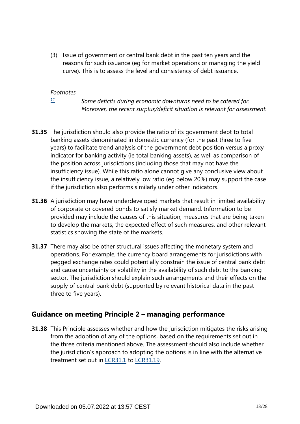(3) Issue of government or central bank debt in the past ten years and the reasons for such issuance (eg for market operations or managing the yield curve). This is to assess the level and consistency of debt issuance.

#### *Footnotes*

*[11](#page-16-0)*

*Some deficits during economic downturns need to be catered for. Moreover, the recent surplus/deficit situation is relevant for assessment.*

- <span id="page-17-0"></span>**31.35** The jurisdiction should also provide the ratio of its government debt to total banking assets denominated in domestic currency (for the past three to five years) to facilitate trend analysis of the government debt position versus a proxy indicator for banking activity (ie total banking assets), as well as comparison of the position across jurisdictions (including those that may not have the insufficiency issue). While this ratio alone cannot give any conclusive view about the insufficiency issue, a relatively low ratio (eg below 20%) may support the case if the jurisdiction also performs similarly under other indicators.
- **31.36** A jurisdiction may have underdeveloped markets that result in limited availability of corporate or covered bonds to satisfy market demand. Information to be provided may include the causes of this situation, measures that are being taken to develop the markets, the expected effect of such measures, and other relevant statistics showing the state of the markets.
- **31.37** There may also be other structural issues affecting the monetary system and operations. For example, the currency board arrangements for jurisdictions with pegged exchange rates could potentially constrain the issue of central bank debt and cause uncertainty or volatility in the availability of such debt to the banking sector. The jurisdiction should explain such arrangements and their effects on the supply of central bank debt (supported by relevant historical data in the past three to five years).

## **Guidance on meeting Principle 2 – managing performance**

**31.38** This Principle assesses whether and how the jurisdiction mitigates the risks arising from the adoption of any of the options, based on the requirements set out in the three criteria mentioned above. The assessment should also include whether the jurisdiction's approach to adopting the options is in line with the alternative treatment set out in [LCR31.1](https://www.bis.org/basel_framework/chapter/LCR/31.htm?tldate=20281012&inforce=20191215&published=20191215#paragraph_LCR_31_20191215_31_1) to [LCR31.19.](https://www.bis.org/basel_framework/chapter/LCR/31.htm?tldate=20281012&inforce=20191215&published=20191215#paragraph_LCR_31_20191215_31_19)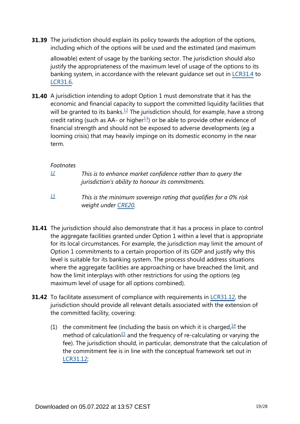**31.39** The jurisdiction should explain its policy towards the adoption of the options, including which of the options will be used and the estimated (and maximum

allowable) extent of usage by the banking sector. The jurisdiction should also justify the appropriateness of the maximum level of usage of the options to its banking system, in accordance with the relevant guidance set out in [LCR31.4](https://www.bis.org/basel_framework/chapter/LCR/31.htm?tldate=20281012&inforce=20191215&published=20191215#paragraph_LCR_31_20191215_31_4) to [LCR31.6](https://www.bis.org/basel_framework/chapter/LCR/31.htm?tldate=20281012&inforce=20191215&published=20191215#paragraph_LCR_31_20191215_31_6).

<span id="page-18-3"></span><span id="page-18-2"></span>**31.40** A jurisdiction intending to adopt Option 1 must demonstrate that it has the economic and financial capacity to support the committed liquidity facilities that will be granted to its banks.<sup>[12](#page-18-0)</sup> The jurisdiction should, for example, have a strong credit rating (such as AA- or higher $13$ ) or be able to provide other evidence of financial strength and should not be exposed to adverse developments (eg a looming crisis) that may heavily impinge on its domestic economy in the near term.

#### *Footnotes*

<span id="page-18-0"></span>*[12](#page-18-2)*

- *This is to enhance market confidence rather than to query the jurisdiction's ability to honour its commitments.*
- *This is the minimum sovereign rating that qualifies for a 0% risk weight under [CRE20.](https://www.bis.org/basel_framework/chapter/CRE/20.htm?tldate=20281012&inforce=20230101&published=20201126) [13](#page-18-3)*
- <span id="page-18-1"></span>**31.41** The jurisdiction should also demonstrate that it has a process in place to control the aggregate facilities granted under Option 1 within a level that is appropriate for its local circumstances. For example, the jurisdiction may limit the amount of Option 1 commitments to a certain proportion of its GDP and justify why this level is suitable for its banking system. The process should address situations where the aggregate facilities are approaching or have breached the limit, and how the limit interplays with other restrictions for using the options (eg maximum level of usage for all options combined).
- <span id="page-18-5"></span><span id="page-18-4"></span>**31.42** To facilitate assessment of compliance with requirements in [LCR31.12](https://www.bis.org/basel_framework/chapter/LCR/31.htm?tldate=20281012&inforce=20191215&published=20191215#paragraph_LCR_31_20191215_31_12), the jurisdiction should provide all relevant details associated with the extension of the committed facility, covering:
	- (1) the commitment fee (including the basis on which it is charged,  $\frac{14}{1}$  $\frac{14}{1}$  $\frac{14}{1}$  the method of calculation<sup>[15](#page-19-1)</sup> and the frequency of re-calculating or varying the fee). The jurisdiction should, in particular, demonstrate that the calculation of the commitment fee is in line with the conceptual framework set out in [LCR31.12](https://www.bis.org/basel_framework/chapter/LCR/31.htm?tldate=20281012&inforce=20191215&published=20191215#paragraph_LCR_31_20191215_31_12);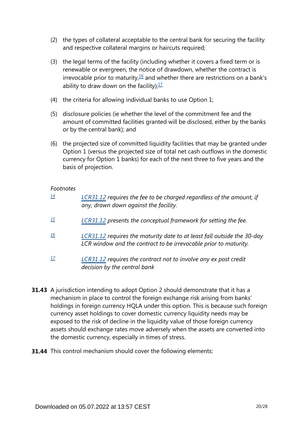- (2) the types of collateral acceptable to the central bank for securing the facility and respective collateral margins or haircuts required;
- <span id="page-19-4"></span>(3) the legal terms of the facility (including whether it covers a fixed term or is renewable or evergreen, the notice of drawdown, whether the contract is irrevocable prior to maturity, $\frac{16}{2}$  $\frac{16}{2}$  $\frac{16}{2}$  and whether there are restrictions on a bank's ability to draw down on the facility): $\frac{17}{2}$  $\frac{17}{2}$  $\frac{17}{2}$
- <span id="page-19-5"></span>(4) the criteria for allowing individual banks to use Option 1;
- (5) disclosure policies (ie whether the level of the commitment fee and the amount of committed facilities granted will be disclosed, either by the banks or by the central bank); and
- (6) the projected size of committed liquidity facilities that may be granted under Option 1 (versus the projected size of total net cash outflows in the domestic currency for Option 1 banks) for each of the next three to five years and the basis of projection.

<span id="page-19-2"></span><span id="page-19-1"></span><span id="page-19-0"></span>

| 14  | LCR31.12 requires the fee to be charged regardless of the amount, if<br>any, drawn down against the facility.                               |
|-----|---------------------------------------------------------------------------------------------------------------------------------------------|
| 15  | LCR31.12 presents the conceptual framework for setting the fee.                                                                             |
| 16  | LCR31.12 requires the maturity date to at least fall outside the 30-day<br>LCR window and the contract to be irrevocable prior to maturity. |
| -17 | LCR31.12 requires the contract not to involve any ex post credit                                                                            |

- <span id="page-19-3"></span>**31.43** A jurisdiction intending to adopt Option 2 should demonstrate that it has a mechanism in place to control the foreign exchange risk arising from banks' holdings in foreign currency HQLA under this option. This is because such foreign currency asset holdings to cover domestic currency liquidity needs may be exposed to the risk of decline in the liquidity value of those foreign currency assets should exchange rates move adversely when the assets are converted into the domestic currency, especially in times of stress.
- **31.44** This control mechanism should cover the following elements:

*decision by the central bank*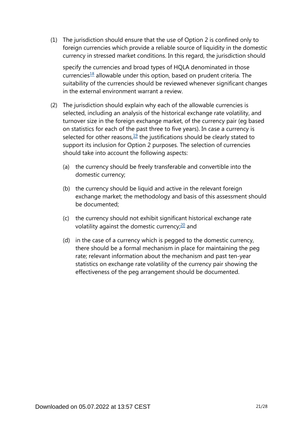(1) The jurisdiction should ensure that the use of Option 2 is confined only to foreign currencies which provide a reliable source of liquidity in the domestic currency in stressed market conditions. In this regard, the jurisdiction should

specify the currencies and broad types of HQLA denominated in those currencies<sup>[18](#page-22-0)</sup> allowable under this option, based on prudent criteria. The suitability of the currencies should be reviewed whenever significant changes in the external environment warrant a review.

- <span id="page-20-2"></span><span id="page-20-1"></span><span id="page-20-0"></span>(2) The jurisdiction should explain why each of the allowable currencies is selected, including an analysis of the historical exchange rate volatility, and turnover size in the foreign exchange market, of the currency pair (eg based on statistics for each of the past three to five years). In case a currency is selected for other reasons, $19$  the justifications should be clearly stated to support its inclusion for Option 2 purposes. The selection of currencies should take into account the following aspects:
	- (a) the currency should be freely transferable and convertible into the domestic currency;
	- (b) the currency should be liquid and active in the relevant foreign exchange market; the methodology and basis of this assessment should be documented;
	- (c) the currency should not exhibit significant historical exchange rate volatility against the domestic currency; $20$  and
	- (d) in the case of a currency which is pegged to the domestic currency, there should be a formal mechanism in place for maintaining the peg rate; relevant information about the mechanism and past ten-year statistics on exchange rate volatility of the currency pair showing the effectiveness of the peg arrangement should be documented.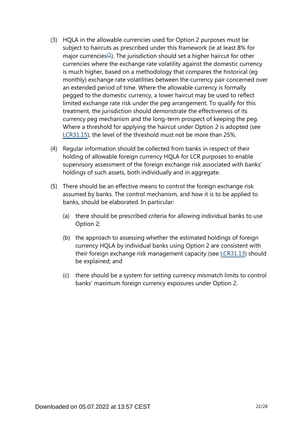- <span id="page-21-0"></span>(3) HQLA in the allowable currencies used for Option 2 purposes must be subject to haircuts as prescribed under this framework (ie at least 8% for major currencies $21$ ). The jurisdiction should set a higher haircut for other currencies where the exchange rate volatility against the domestic currency is much higher, based on a methodology that compares the historical (eg monthly) exchange rate volatilities between the currency pair concerned over an extended period of time. Where the allowable currency is formally pegged to the domestic currency, a lower haircut may be used to reflect limited exchange rate risk under the peg arrangement. To qualify for this treatment, the jurisdiction should demonstrate the effectiveness of its currency peg mechanism and the long-term prospect of keeping the peg. Where a threshold for applying the haircut under Option 2 is adopted (see [LCR31.15](https://www.bis.org/basel_framework/chapter/LCR/31.htm?tldate=20281012&inforce=20191215&published=20191215#paragraph_LCR_31_20191215_31_15)), the level of the threshold must not be more than 25%.
- (4) Regular information should be collected from banks in respect of their holding of allowable foreign currency HQLA for LCR purposes to enable supervisory assessment of the foreign exchange risk associated with banks' holdings of such assets, both individually and in aggregate.
- (5) There should be an effective means to control the foreign exchange risk assumed by banks. The control mechanism, and how it is to be applied to banks, should be elaborated. In particular:
	- (a) there should be prescribed criteria for allowing individual banks to use Option 2;
	- (b) the approach to assessing whether the estimated holdings of foreign currency HQLA by individual banks using Option 2 are consistent with their foreign exchange risk management capacity (see [LCR31.13](https://www.bis.org/basel_framework/chapter/LCR/31.htm?tldate=20281012&inforce=20191215&published=20191215#paragraph_LCR_31_20191215_31_13)) should be explained; and
	- (c) there should be a system for setting currency mismatch limits to control banks' maximum foreign currency exposures under Option 2.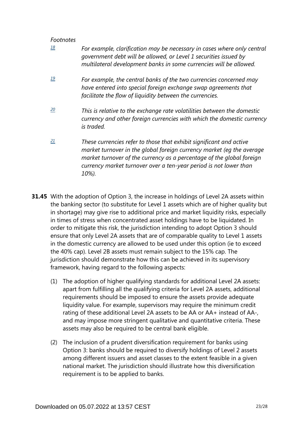<span id="page-22-2"></span><span id="page-22-1"></span><span id="page-22-0"></span>

| 18 | For example, clarification may be necessary in cases where only central<br>government debt will be allowed, or Level 1 securities issued by<br>multilateral development banks in some currencies will be allowed.                                                                                   |
|----|-----------------------------------------------------------------------------------------------------------------------------------------------------------------------------------------------------------------------------------------------------------------------------------------------------|
| 19 | For example, the central banks of the two currencies concerned may<br>have entered into special foreign exchange swap agreements that<br>facilitate the flow of liquidity between the currencies.                                                                                                   |
| 20 | This is relative to the exchange rate volatilities between the domestic<br>currency and other foreign currencies with which the domestic currency<br>is traded.                                                                                                                                     |
| 21 | These currencies refer to those that exhibit significant and active<br>market turnover in the global foreign currency market (eq the average<br>market turnover of the currency as a percentage of the global foreign<br>currency market turnover over a ten-year period is not lower than<br>10%). |

- <span id="page-22-3"></span>**31.45** With the adoption of Option 3, the increase in holdings of Level 2A assets within the banking sector (to substitute for Level 1 assets which are of higher quality but in shortage) may give rise to additional price and market liquidity risks, especially in times of stress when concentrated asset holdings have to be liquidated. In order to mitigate this risk, the jurisdiction intending to adopt Option 3 should ensure that only Level 2A assets that are of comparable quality to Level 1 assets in the domestic currency are allowed to be used under this option (ie to exceed the 40% cap). Level 2B assets must remain subject to the 15% cap. The jurisdiction should demonstrate how this can be achieved in its supervisory framework, having regard to the following aspects:
	- (1) The adoption of higher qualifying standards for additional Level 2A assets: apart from fulfilling all the qualifying criteria for Level 2A assets, additional requirements should be imposed to ensure the assets provide adequate liquidity value. For example, supervisors may require the minimum credit rating of these additional Level 2A assets to be AA or AA+ instead of AA-, and may impose more stringent qualitative and quantitative criteria. These assets may also be required to be central bank eligible.
	- (2) The inclusion of a prudent diversification requirement for banks using Option 3: banks should be required to diversify holdings of Level 2 assets among different issuers and asset classes to the extent feasible in a given national market. The jurisdiction should illustrate how this diversification requirement is to be applied to banks.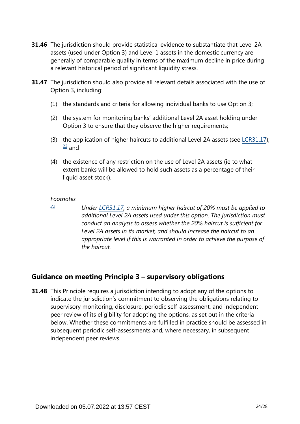- **31.46** The jurisdiction should provide statistical evidence to substantiate that Level 2A assets (used under Option 3) and Level 1 assets in the domestic currency are generally of comparable quality in terms of the maximum decline in price during a relevant historical period of significant liquidity stress.
- **31.47** The jurisdiction should also provide all relevant details associated with the use of Option 3, including:
	- (1) the standards and criteria for allowing individual banks to use Option 3;
	- (2) the system for monitoring banks' additional Level 2A asset holding under Option 3 to ensure that they observe the higher requirements;
	- (3) the application of higher haircuts to additional Level 2A assets (see [LCR31.17\)](https://www.bis.org/basel_framework/chapter/LCR/31.htm?tldate=20281012&inforce=20191215&published=20191215#paragraph_LCR_31_20191215_31_17);  $\frac{22}{ }$  $\frac{22}{ }$  $\frac{22}{ }$  and
	- (4) the existence of any restriction on the use of Level 2A assets (ie to what extent banks will be allowed to hold such assets as a percentage of their liquid asset stock).

<span id="page-23-0"></span>*[22](#page-0-0)*

*Under [LCR31.17](https://www.bis.org/basel_framework/chapter/LCR/31.htm?tldate=20281012&inforce=20191215&published=20191215#paragraph_LCR_31_20191215_31_17), a minimum higher haircut of 20% must be applied to additional Level 2A assets used under this option. The jurisdiction must conduct an analysis to assess whether the 20% haircut is sufficient for Level 2A assets in its market, and should increase the haircut to an appropriate level if this is warranted in order to achieve the purpose of the haircut.* 

## **Guidance on meeting Principle 3 – supervisory obligations**

**31.48** This Principle requires a jurisdiction intending to adopt any of the options to indicate the jurisdiction's commitment to observing the obligations relating to supervisory monitoring, disclosure, periodic self-assessment, and independent peer review of its eligibility for adopting the options, as set out in the criteria below. Whether these commitments are fulfilled in practice should be assessed in subsequent periodic self-assessments and, where necessary, in subsequent independent peer reviews.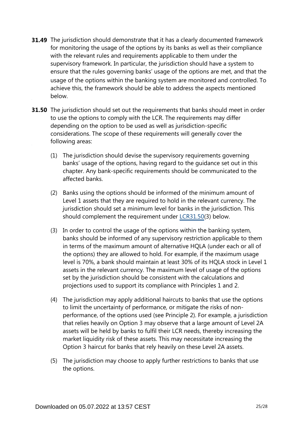- **31.49** The jurisdiction should demonstrate that it has a clearly documented framework for monitoring the usage of the options by its banks as well as their compliance with the relevant rules and requirements applicable to them under the supervisory framework. In particular, the jurisdiction should have a system to ensure that the rules governing banks' usage of the options are met, and that the usage of the options within the banking system are monitored and controlled. To achieve this, the framework should be able to address the aspects mentioned below.
- **31.50** The jurisdiction should set out the requirements that banks should meet in order to use the options to comply with the LCR. The requirements may differ depending on the option to be used as well as jurisdiction-specific considerations. The scope of these requirements will generally cover the following areas:
	- (1) The jurisdiction should devise the supervisory requirements governing banks' usage of the options, having regard to the guidance set out in this chapter. Any bank-specific requirements should be communicated to the affected banks.
	- (2) Banks using the options should be informed of the minimum amount of Level 1 assets that they are required to hold in the relevant currency. The jurisdiction should set a minimum level for banks in the jurisdiction. This should complement the requirement under [LCR31.50](https://www.bis.org/basel_framework/chapter/LCR/31.htm?tldate=20281012&inforce=20191215&published=20191215#paragraph_LCR_31_20191215_31_50)(3) below.
	- (3) In order to control the usage of the options within the banking system, banks should be informed of any supervisory restriction applicable to them in terms of the maximum amount of alternative HQLA (under each or all of the options) they are allowed to hold. For example, if the maximum usage level is 70%, a bank should maintain at least 30% of its HQLA stock in Level 1 assets in the relevant currency. The maximum level of usage of the options set by the jurisdiction should be consistent with the calculations and projections used to support its compliance with Principles 1 and 2.
	- (4) The jurisdiction may apply additional haircuts to banks that use the options to limit the uncertainty of performance, or mitigate the risks of nonperformance, of the options used (see Principle 2). For example, a jurisdiction that relies heavily on Option 3 may observe that a large amount of Level 2A assets will be held by banks to fulfil their LCR needs, thereby increasing the market liquidity risk of these assets. This may necessitate increasing the Option 3 haircut for banks that rely heavily on these Level 2A assets.
	- (5) The jurisdiction may choose to apply further restrictions to banks that use the options.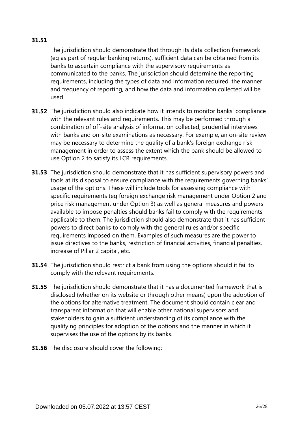#### **31.51**

The jurisdiction should demonstrate that through its data collection framework (eg as part of regular banking returns), sufficient data can be obtained from its banks to ascertain compliance with the supervisory requirements as communicated to the banks. The jurisdiction should determine the reporting requirements, including the types of data and information required, the manner and frequency of reporting, and how the data and information collected will be used.

- **31.52** The jurisdiction should also indicate how it intends to monitor banks' compliance with the relevant rules and requirements. This may be performed through a combination of off-site analysis of information collected, prudential interviews with banks and on-site examinations as necessary. For example, an on-site review may be necessary to determine the quality of a bank's foreign exchange risk management in order to assess the extent which the bank should be allowed to use Option 2 to satisfy its LCR requirements.
- **31.53** The jurisdiction should demonstrate that it has sufficient supervisory powers and tools at its disposal to ensure compliance with the requirements governing banks' usage of the options. These will include tools for assessing compliance with specific requirements (eg foreign exchange risk management under Option 2 and price risk management under Option 3) as well as general measures and powers available to impose penalties should banks fail to comply with the requirements applicable to them. The jurisdiction should also demonstrate that it has sufficient powers to direct banks to comply with the general rules and/or specific requirements imposed on them. Examples of such measures are the power to issue directives to the banks, restriction of financial activities, financial penalties, increase of Pillar 2 capital, etc.
- **31.54** The jurisdiction should restrict a bank from using the options should it fail to comply with the relevant requirements.
- **31.55** The jurisdiction should demonstrate that it has a documented framework that is disclosed (whether on its website or through other means) upon the adoption of the options for alternative treatment. The document should contain clear and transparent information that will enable other national supervisors and stakeholders to gain a sufficient understanding of its compliance with the qualifying principles for adoption of the options and the manner in which it supervises the use of the options by its banks.
- **31.56** The disclosure should cover the following: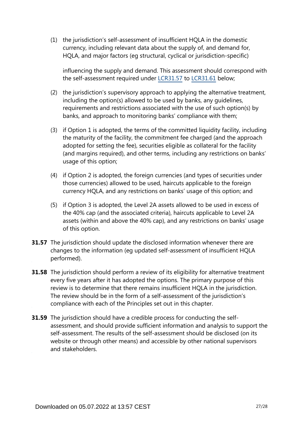(1) the jurisdiction's self-assessment of insufficient HQLA in the domestic currency, including relevant data about the supply of, and demand for, HQLA, and major factors (eg structural, cyclical or jurisdiction-specific)

influencing the supply and demand. This assessment should correspond with the self-assessment required under [LCR31.57](https://www.bis.org/basel_framework/chapter/LCR/31.htm?tldate=20281012&inforce=20191215&published=20191215#paragraph_LCR_31_20191215_31_57) to [LCR31.61](https://www.bis.org/basel_framework/chapter/LCR/31.htm?tldate=20281012&inforce=20191215&published=20191215#paragraph_LCR_31_20191215_31_61) below;

- (2) the jurisdiction's supervisory approach to applying the alternative treatment, including the option(s) allowed to be used by banks, any guidelines, requirements and restrictions associated with the use of such option(s) by banks, and approach to monitoring banks' compliance with them;
- (3) if Option 1 is adopted, the terms of the committed liquidity facility, including the maturity of the facility, the commitment fee charged (and the approach adopted for setting the fee), securities eligible as collateral for the facility (and margins required), and other terms, including any restrictions on banks' usage of this option;
- (4) if Option 2 is adopted, the foreign currencies (and types of securities under those currencies) allowed to be used, haircuts applicable to the foreign currency HQLA, and any restrictions on banks' usage of this option; and
- (5) if Option 3 is adopted, the Level 2A assets allowed to be used in excess of the 40% cap (and the associated criteria), haircuts applicable to Level 2A assets (within and above the 40% cap), and any restrictions on banks' usage of this option.
- **31.57** The jurisdiction should update the disclosed information whenever there are changes to the information (eg updated self-assessment of insufficient HQLA performed).
- **31.58** The jurisdiction should perform a review of its eligibility for alternative treatment every five years after it has adopted the options. The primary purpose of this review is to determine that there remains insufficient HQLA in the jurisdiction. The review should be in the form of a self-assessment of the jurisdiction's compliance with each of the Principles set out in this chapter.
- **31.59** The jurisdiction should have a credible process for conducting the selfassessment, and should provide sufficient information and analysis to support the self-assessment. The results of the self-assessment should be disclosed (on its website or through other means) and accessible by other national supervisors and stakeholders.